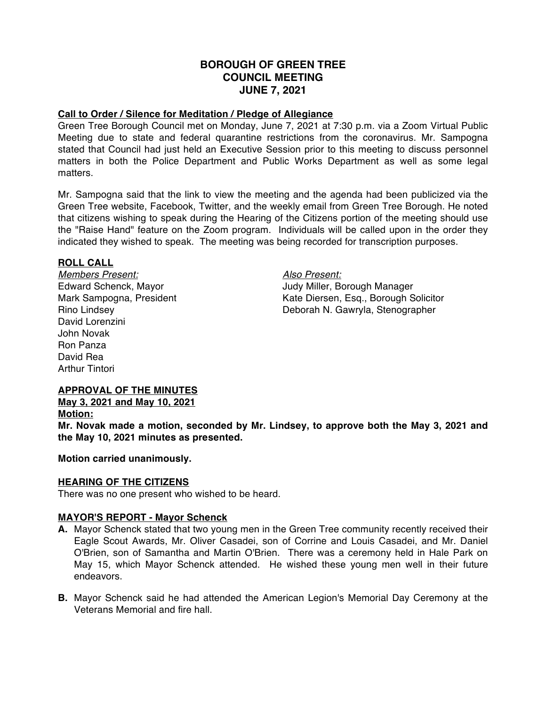# **BOROUGH OF GREEN TREE COUNCIL MEETING JUNE 7, 2021**

## **Call to Order / Silence for Meditation / Pledge of Allegiance**

Green Tree Borough Council met on Monday, June 7, 2021 at 7:30 p.m. via a Zoom Virtual Public Meeting due to state and federal quarantine restrictions from the coronavirus. Mr. Sampogna stated that Council had just held an Executive Session prior to this meeting to discuss personnel matters in both the Police Department and Public Works Department as well as some legal matters.

Mr. Sampogna said that the link to view the meeting and the agenda had been publicized via the Green Tree website, Facebook, Twitter, and the weekly email from Green Tree Borough. He noted that citizens wishing to speak during the Hearing of the Citizens portion of the meeting should use the "Raise Hand" feature on the Zoom program. Individuals will be called upon in the order they indicated they wished to speak. The meeting was being recorded for transcription purposes.

#### **ROLL CALL**

*Members Present: Also Present:* David Lorenzini John Novak Ron Panza David Rea Arthur Tintori

Edward Schenck, Mayor Judy Miller, Borough Manager Mark Sampogna, President Kate Diersen, Esq., Borough Solicitor Rino Lindsey Deborah N. Gawryla, Stenographer

# **APPROVAL OF THE MINUTES**

# **May 3, 2021 and May 10, 2021**

#### **Motion:**

**Mr. Novak made a motion, seconded by Mr. Lindsey, to approve both the May 3, 2021 and the May 10, 2021 minutes as presented.**

#### **Motion carried unanimously.**

#### **HEARING OF THE CITIZENS**

There was no one present who wished to be heard.

# **MAYOR'S REPORT - Mayor Schenck**

- **A.** Mayor Schenck stated that two young men in the Green Tree community recently received their Eagle Scout Awards, Mr. Oliver Casadei, son of Corrine and Louis Casadei, and Mr. Daniel O'Brien, son of Samantha and Martin O'Brien. There was a ceremony held in Hale Park on May 15, which Mayor Schenck attended. He wished these young men well in their future endeavors.
- **B.** Mayor Schenck said he had attended the American Legion's Memorial Day Ceremony at the Veterans Memorial and fire hall.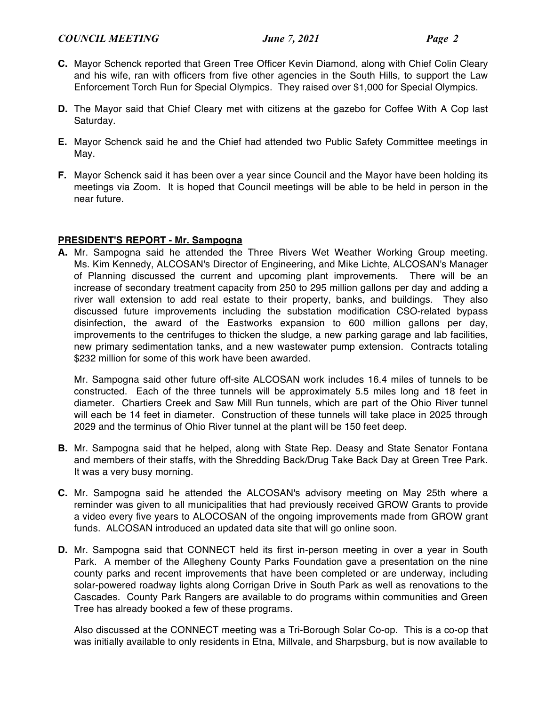# *COUNCIL MEETING June 7, 2021 Page 2*

- **C.** Mayor Schenck reported that Green Tree Officer Kevin Diamond, along with Chief Colin Cleary and his wife, ran with officers from five other agencies in the South Hills, to support the Law Enforcement Torch Run for Special Olympics. They raised over \$1,000 for Special Olympics.
- **D.** The Mayor said that Chief Cleary met with citizens at the gazebo for Coffee With A Cop last Saturday.
- **E.** Mayor Schenck said he and the Chief had attended two Public Safety Committee meetings in May.
- **F.** Mayor Schenck said it has been over a year since Council and the Mayor have been holding its meetings via Zoom. It is hoped that Council meetings will be able to be held in person in the near future.

# **PRESIDENT'S REPORT - Mr. Sampogna**

**A.** Mr. Sampogna said he attended the Three Rivers Wet Weather Working Group meeting. Ms. Kim Kennedy, ALCOSAN's Director of Engineering, and Mike Lichte, ALCOSAN's Manager of Planning discussed the current and upcoming plant improvements. There will be an increase of secondary treatment capacity from 250 to 295 million gallons per day and adding a river wall extension to add real estate to their property, banks, and buildings. They also discussed future improvements including the substation modification CSO-related bypass disinfection, the award of the Eastworks expansion to 600 million gallons per day, improvements to the centrifuges to thicken the sludge, a new parking garage and lab facilities, new primary sedimentation tanks, and a new wastewater pump extension. Contracts totaling \$232 million for some of this work have been awarded.

Mr. Sampogna said other future off-site ALCOSAN work includes 16.4 miles of tunnels to be constructed. Each of the three tunnels will be approximately 5.5 miles long and 18 feet in diameter. Chartiers Creek and Saw Mill Run tunnels, which are part of the Ohio River tunnel will each be 14 feet in diameter. Construction of these tunnels will take place in 2025 through 2029 and the terminus of Ohio River tunnel at the plant will be 150 feet deep.

- **B.** Mr. Sampogna said that he helped, along with State Rep. Deasy and State Senator Fontana and members of their staffs, with the Shredding Back/Drug Take Back Day at Green Tree Park. It was a very busy morning.
- **C.** Mr. Sampogna said he attended the ALCOSAN's advisory meeting on May 25th where a reminder was given to all municipalities that had previously received GROW Grants to provide a video every five years to ALOCOSAN of the ongoing improvements made from GROW grant funds. ALCOSAN introduced an updated data site that will go online soon.
- **D.** Mr. Sampogna said that CONNECT held its first in-person meeting in over a year in South Park. A member of the Allegheny County Parks Foundation gave a presentation on the nine county parks and recent improvements that have been completed or are underway, including solar-powered roadway lights along Corrigan Drive in South Park as well as renovations to the Cascades. County Park Rangers are available to do programs within communities and Green Tree has already booked a few of these programs.

Also discussed at the CONNECT meeting was a Tri-Borough Solar Co-op. This is a co-op that was initially available to only residents in Etna, Millvale, and Sharpsburg, but is now available to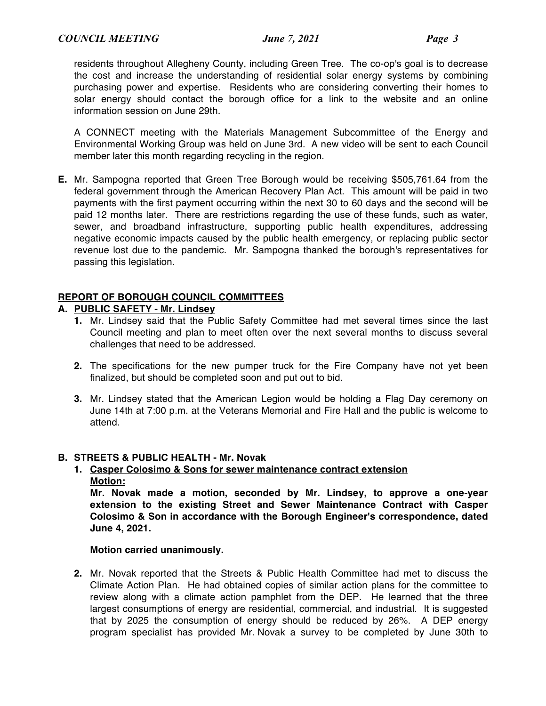residents throughout Allegheny County, including Green Tree. The co-op's goal is to decrease the cost and increase the understanding of residential solar energy systems by combining purchasing power and expertise. Residents who are considering converting their homes to solar energy should contact the borough office for a link to the website and an online information session on June 29th.

A CONNECT meeting with the Materials Management Subcommittee of the Energy and Environmental Working Group was held on June 3rd. A new video will be sent to each Council member later this month regarding recycling in the region.

**E.** Mr. Sampogna reported that Green Tree Borough would be receiving \$505,761.64 from the federal government through the American Recovery Plan Act. This amount will be paid in two payments with the first payment occurring within the next 30 to 60 days and the second will be paid 12 months later. There are restrictions regarding the use of these funds, such as water, sewer, and broadband infrastructure, supporting public health expenditures, addressing negative economic impacts caused by the public health emergency, or replacing public sector revenue lost due to the pandemic. Mr. Sampogna thanked the borough's representatives for passing this legislation.

# **REPORT OF BOROUGH COUNCIL COMMITTEES**

# **A. PUBLIC SAFETY - Mr. Lindsey**

- **1.** Mr. Lindsey said that the Public Safety Committee had met several times since the last Council meeting and plan to meet often over the next several months to discuss several challenges that need to be addressed.
- **2.** The specifications for the new pumper truck for the Fire Company have not yet been finalized, but should be completed soon and put out to bid.
- **3.** Mr. Lindsey stated that the American Legion would be holding a Flag Day ceremony on June 14th at 7:00 p.m. at the Veterans Memorial and Fire Hall and the public is welcome to attend.

# **B. STREETS & PUBLIC HEALTH - Mr. Novak**

# **1. Casper Colosimo & Sons for sewer maintenance contract extension Motion:**

**Mr. Novak made a motion, seconded by Mr. Lindsey, to approve a one-year extension to the existing Street and Sewer Maintenance Contract with Casper Colosimo & Son in accordance with the Borough Engineer's correspondence, dated June 4, 2021.**

# **Motion carried unanimously.**

**2.** Mr. Novak reported that the Streets & Public Health Committee had met to discuss the Climate Action Plan. He had obtained copies of similar action plans for the committee to review along with a climate action pamphlet from the DEP. He learned that the three largest consumptions of energy are residential, commercial, and industrial. It is suggested that by 2025 the consumption of energy should be reduced by 26%. A DEP energy program specialist has provided Mr. Novak a survey to be completed by June 30th to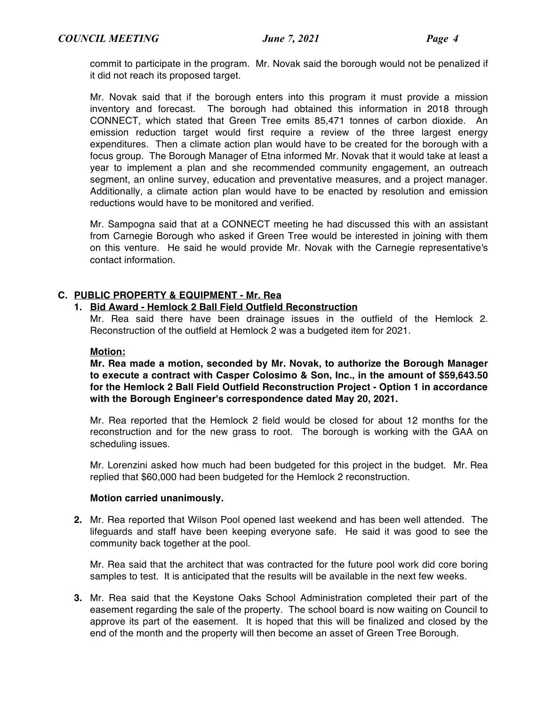commit to participate in the program. Mr. Novak said the borough would not be penalized if it did not reach its proposed target.

Mr. Novak said that if the borough enters into this program it must provide a mission inventory and forecast. The borough had obtained this information in 2018 through CONNECT, which stated that Green Tree emits 85,471 tonnes of carbon dioxide. An emission reduction target would first require a review of the three largest energy expenditures. Then a climate action plan would have to be created for the borough with a focus group. The Borough Manager of Etna informed Mr. Novak that it would take at least a year to implement a plan and she recommended community engagement, an outreach segment, an online survey, education and preventative measures, and a project manager. Additionally, a climate action plan would have to be enacted by resolution and emission reductions would have to be monitored and verified.

Mr. Sampogna said that at a CONNECT meeting he had discussed this with an assistant from Carnegie Borough who asked if Green Tree would be interested in joining with them on this venture. He said he would provide Mr. Novak with the Carnegie representative's contact information.

# **C. PUBLIC PROPERTY & EQUIPMENT - Mr. Rea**

## **1. Bid Award - Hemlock 2 Ball Field Outfield Reconstruction**

Mr. Rea said there have been drainage issues in the outfield of the Hemlock 2. Reconstruction of the outfield at Hemlock 2 was a budgeted item for 2021.

#### **Motion:**

**Mr. Rea made a motion, seconded by Mr. Novak, to authorize the Borough Manager to execute a contract with Casper Colosimo & Son, Inc., in the amount of \$59,643.50 for the Hemlock 2 Ball Field Outfield Reconstruction Project - Option 1 in accordance with the Borough Engineer's correspondence dated May 20, 2021.**

Mr. Rea reported that the Hemlock 2 field would be closed for about 12 months for the reconstruction and for the new grass to root. The borough is working with the GAA on scheduling issues.

Mr. Lorenzini asked how much had been budgeted for this project in the budget. Mr. Rea replied that \$60,000 had been budgeted for the Hemlock 2 reconstruction.

#### **Motion carried unanimously.**

**2.** Mr. Rea reported that Wilson Pool opened last weekend and has been well attended. The lifeguards and staff have been keeping everyone safe. He said it was good to see the community back together at the pool.

Mr. Rea said that the architect that was contracted for the future pool work did core boring samples to test. It is anticipated that the results will be available in the next few weeks.

**3.** Mr. Rea said that the Keystone Oaks School Administration completed their part of the easement regarding the sale of the property. The school board is now waiting on Council to approve its part of the easement. It is hoped that this will be finalized and closed by the end of the month and the property will then become an asset of Green Tree Borough.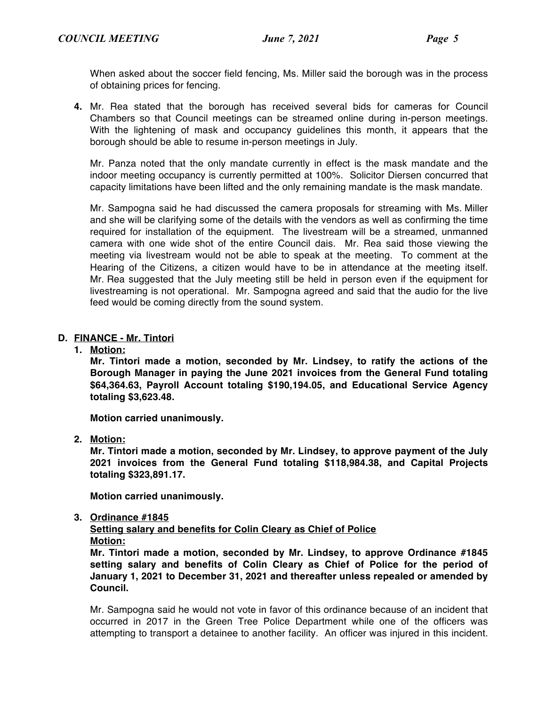When asked about the soccer field fencing, Ms. Miller said the borough was in the process of obtaining prices for fencing.

**4.** Mr. Rea stated that the borough has received several bids for cameras for Council Chambers so that Council meetings can be streamed online during in-person meetings. With the lightening of mask and occupancy guidelines this month, it appears that the borough should be able to resume in-person meetings in July.

Mr. Panza noted that the only mandate currently in effect is the mask mandate and the indoor meeting occupancy is currently permitted at 100%. Solicitor Diersen concurred that capacity limitations have been lifted and the only remaining mandate is the mask mandate.

Mr. Sampogna said he had discussed the camera proposals for streaming with Ms. Miller and she will be clarifying some of the details with the vendors as well as confirming the time required for installation of the equipment. The livestream will be a streamed, unmanned camera with one wide shot of the entire Council dais. Mr. Rea said those viewing the meeting via livestream would not be able to speak at the meeting. To comment at the Hearing of the Citizens, a citizen would have to be in attendance at the meeting itself. Mr. Rea suggested that the July meeting still be held in person even if the equipment for livestreaming is not operational. Mr. Sampogna agreed and said that the audio for the live feed would be coming directly from the sound system.

# **D. FINANCE - Mr. Tintori**

## **1. Motion:**

**Mr. Tintori made a motion, seconded by Mr. Lindsey, to ratify the actions of the Borough Manager in paying the June 2021 invoices from the General Fund totaling \$64,364.63, Payroll Account totaling \$190,194.05, and Educational Service Agency totaling \$3,623.48.**

**Motion carried unanimously.**

**2. Motion:**

**Mr. Tintori made a motion, seconded by Mr. Lindsey, to approve payment of the July 2021 invoices from the General Fund totaling \$118,984.38, and Capital Projects totaling \$323,891.17.**

**Motion carried unanimously.**

**3. Ordinance #1845**

**Setting salary and benefits for Colin Cleary as Chief of Police Motion:**

**Mr. Tintori made a motion, seconded by Mr. Lindsey, to approve Ordinance #1845 setting salary and benefits of Colin Cleary as Chief of Police for the period of January 1, 2021 to December 31, 2021 and thereafter unless repealed or amended by Council.**

Mr. Sampogna said he would not vote in favor of this ordinance because of an incident that occurred in 2017 in the Green Tree Police Department while one of the officers was attempting to transport a detainee to another facility. An officer was injured in this incident.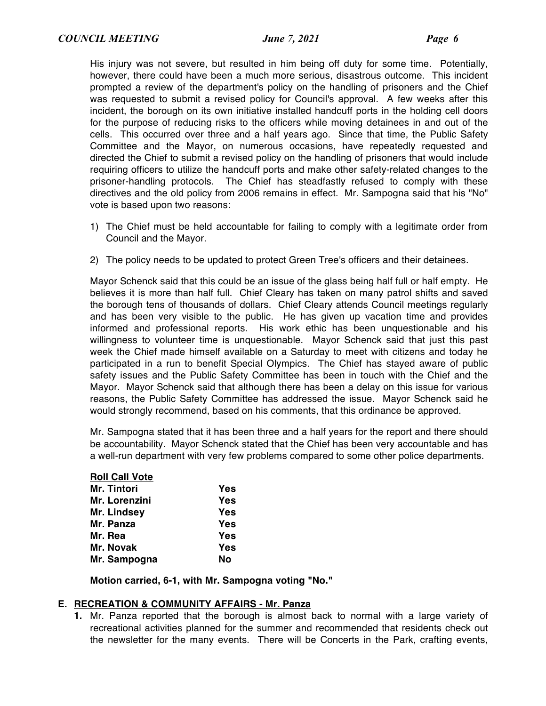His injury was not severe, but resulted in him being off duty for some time. Potentially, however, there could have been a much more serious, disastrous outcome. This incident prompted a review of the department's policy on the handling of prisoners and the Chief was requested to submit a revised policy for Council's approval. A few weeks after this incident, the borough on its own initiative installed handcuff ports in the holding cell doors for the purpose of reducing risks to the officers while moving detainees in and out of the cells. This occurred over three and a half years ago. Since that time, the Public Safety Committee and the Mayor, on numerous occasions, have repeatedly requested and directed the Chief to submit a revised policy on the handling of prisoners that would include requiring officers to utilize the handcuff ports and make other safety-related changes to the prisoner-handling protocols. The Chief has steadfastly refused to comply with these directives and the old policy from 2006 remains in effect. Mr. Sampogna said that his "No" vote is based upon two reasons:

- 1) The Chief must be held accountable for failing to comply with a legitimate order from Council and the Mayor.
- 2) The policy needs to be updated to protect Green Tree's officers and their detainees.

Mayor Schenck said that this could be an issue of the glass being half full or half empty. He believes it is more than half full. Chief Cleary has taken on many patrol shifts and saved the borough tens of thousands of dollars. Chief Cleary attends Council meetings regularly and has been very visible to the public. He has given up vacation time and provides informed and professional reports. His work ethic has been unquestionable and his willingness to volunteer time is unquestionable. Mayor Schenck said that just this past week the Chief made himself available on a Saturday to meet with citizens and today he participated in a run to benefit Special Olympics. The Chief has stayed aware of public safety issues and the Public Safety Committee has been in touch with the Chief and the Mayor. Mayor Schenck said that although there has been a delay on this issue for various reasons, the Public Safety Committee has addressed the issue. Mayor Schenck said he would strongly recommend, based on his comments, that this ordinance be approved.

Mr. Sampogna stated that it has been three and a half years for the report and there should be accountability. Mayor Schenck stated that the Chief has been very accountable and has a well-run department with very few problems compared to some other police departments.

| <b>Roll Call Vote</b> |     |
|-----------------------|-----|
| Mr. Tintori           | Yes |
| Mr. Lorenzini         | Yes |
| Mr. Lindsey           | Yes |
| Mr. Panza             | Yes |
| Mr. Rea               | Yes |
| Mr. Novak             | Yes |
| Mr. Sampogna          | Nο  |
|                       |     |

**Motion carried, 6-1, with Mr. Sampogna voting "No."**

#### **E. RECREATION & COMMUNITY AFFAIRS - Mr. Panza**

**1.** Mr. Panza reported that the borough is almost back to normal with a large variety of recreational activities planned for the summer and recommended that residents check out the newsletter for the many events. There will be Concerts in the Park, crafting events,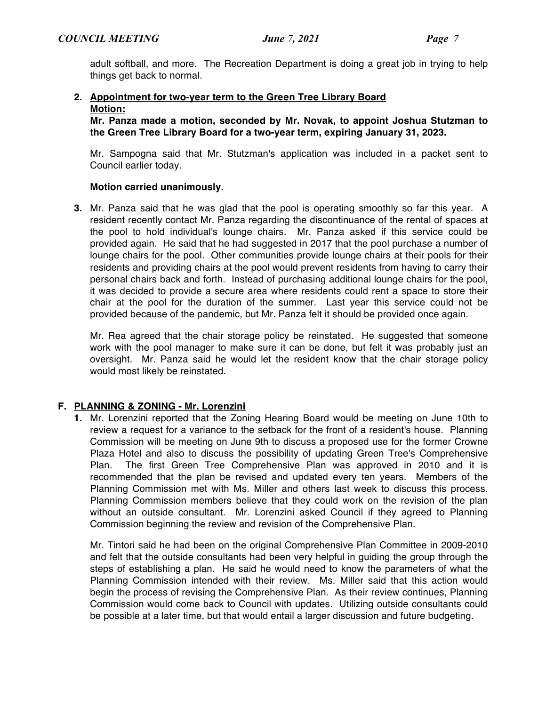adult softball, and more. The Recreation Department is doing a great job in trying to help things get back to normal.

# **2. Appointment for two-year term to the Green Tree Library Board Motion:**

**Mr. Panza made a motion, seconded by Mr. Novak, to appoint Joshua Stutzman to the Green Tree Library Board for a two-year term, expiring January 31, 2023.**

Mr. Sampogna said that Mr. Stutzman's application was included in a packet sent to Council earlier today.

# **Motion carried unanimously.**

**3.** Mr. Panza said that he was glad that the pool is operating smoothly so far this year. A resident recently contact Mr. Panza regarding the discontinuance of the rental of spaces at the pool to hold individual's lounge chairs. Mr. Panza asked if this service could be provided again. He said that he had suggested in 2017 that the pool purchase a number of lounge chairs for the pool. Other communities provide lounge chairs at their pools for their residents and providing chairs at the pool would prevent residents from having to carry their personal chairs back and forth. Instead of purchasing additional lounge chairs for the pool, it was decided to provide a secure area where residents could rent a space to store their chair at the pool for the duration of the summer. Last year this service could not be provided because of the pandemic, but Mr. Panza felt it should be provided once again.

Mr. Rea agreed that the chair storage policy be reinstated. He suggested that someone work with the pool manager to make sure it can be done, but felt it was probably just an oversight. Mr. Panza said he would let the resident know that the chair storage policy would most likely be reinstated.

# **F. PLANNING & ZONING - Mr. Lorenzini**

**1.** Mr. Lorenzini reported that the Zoning Hearing Board would be meeting on June 10th to review a request for a variance to the setback for the front of a resident's house. Planning Commission will be meeting on June 9th to discuss a proposed use for the former Crowne Plaza Hotel and also to discuss the possibility of updating Green Tree's Comprehensive Plan. The first Green Tree Comprehensive Plan was approved in 2010 and it is recommended that the plan be revised and updated every ten years. Members of the Planning Commission met with Ms. Miller and others last week to discuss this process. Planning Commission members believe that they could work on the revision of the plan without an outside consultant. Mr. Lorenzini asked Council if they agreed to Planning Commission beginning the review and revision of the Comprehensive Plan.

Mr. Tintori said he had been on the original Comprehensive Plan Committee in 2009-2010 and felt that the outside consultants had been very helpful in guiding the group through the steps of establishing a plan. He said he would need to know the parameters of what the Planning Commission intended with their review. Ms. Miller said that this action would begin the process of revising the Comprehensive Plan. As their review continues, Planning Commission would come back to Council with updates. Utilizing outside consultants could be possible at a later time, but that would entail a larger discussion and future budgeting.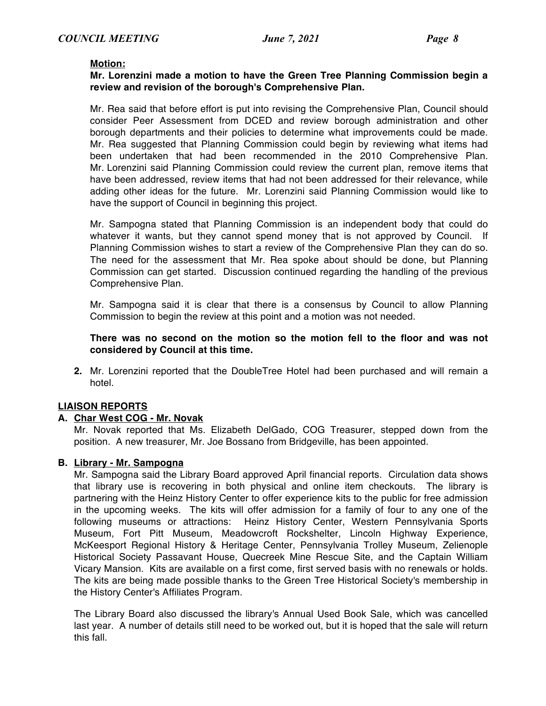#### **Motion:**

### **Mr. Lorenzini made a motion to have the Green Tree Planning Commission begin a review and revision of the borough's Comprehensive Plan.**

Mr. Rea said that before effort is put into revising the Comprehensive Plan, Council should consider Peer Assessment from DCED and review borough administration and other borough departments and their policies to determine what improvements could be made. Mr. Rea suggested that Planning Commission could begin by reviewing what items had been undertaken that had been recommended in the 2010 Comprehensive Plan. Mr. Lorenzini said Planning Commission could review the current plan, remove items that have been addressed, review items that had not been addressed for their relevance, while adding other ideas for the future. Mr. Lorenzini said Planning Commission would like to have the support of Council in beginning this project.

Mr. Sampogna stated that Planning Commission is an independent body that could do whatever it wants, but they cannot spend money that is not approved by Council. If Planning Commission wishes to start a review of the Comprehensive Plan they can do so. The need for the assessment that Mr. Rea spoke about should be done, but Planning Commission can get started. Discussion continued regarding the handling of the previous Comprehensive Plan.

Mr. Sampogna said it is clear that there is a consensus by Council to allow Planning Commission to begin the review at this point and a motion was not needed.

### **There was no second on the motion so the motion fell to the floor and was not considered by Council at this time.**

**2.** Mr. Lorenzini reported that the DoubleTree Hotel had been purchased and will remain a hotel.

#### **LIAISON REPORTS**

#### **A. Char West COG - Mr. Novak**

Mr. Novak reported that Ms. Elizabeth DelGado, COG Treasurer, stepped down from the position. A new treasurer, Mr. Joe Bossano from Bridgeville, has been appointed.

#### **B. Library - Mr. Sampogna**

Mr. Sampogna said the Library Board approved April financial reports. Circulation data shows that library use is recovering in both physical and online item checkouts. The library is partnering with the Heinz History Center to offer experience kits to the public for free admission in the upcoming weeks. The kits will offer admission for a family of four to any one of the following museums or attractions: Heinz History Center, Western Pennsylvania Sports Museum, Fort Pitt Museum, Meadowcroft Rockshelter, Lincoln Highway Experience, McKeesport Regional History & Heritage Center, Pennsylvania Trolley Museum, Zelienople Historical Society Passavant House, Quecreek Mine Rescue Site, and the Captain William Vicary Mansion. Kits are available on a first come, first served basis with no renewals or holds. The kits are being made possible thanks to the Green Tree Historical Society's membership in the History Center's Affiliates Program.

The Library Board also discussed the library's Annual Used Book Sale, which was cancelled last year. A number of details still need to be worked out, but it is hoped that the sale will return this fall.